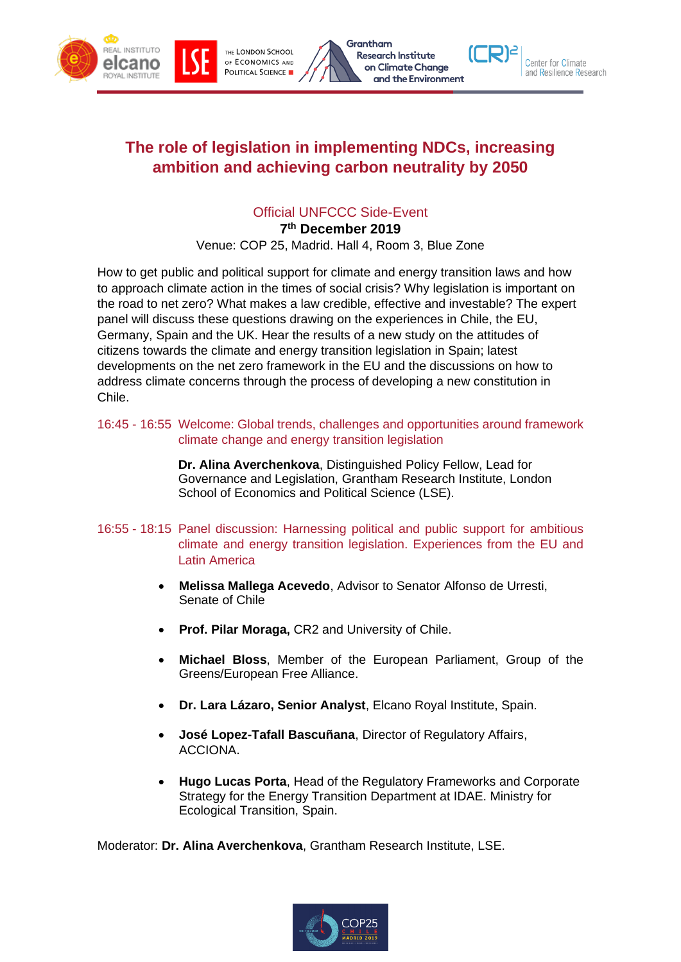



Center for Climate

and Resilience Research



## Official UNFCCC Side-Event

**7 th December 2019**

Venue: COP 25, Madrid. Hall 4, Room 3, Blue Zone

How to get public and political support for climate and energy transition laws and how to approach climate action in the times of social crisis? Why legislation is important on the road to net zero? What makes a law credible, effective and investable? The expert panel will discuss these questions drawing on the experiences in Chile, the EU, Germany, Spain and the UK. Hear the results of a new study on the attitudes of citizens towards the climate and energy transition legislation in Spain; latest developments on the net zero framework in the EU and the discussions on how to address climate concerns through the process of developing a new constitution in Chile.

16:45 - 16:55 Welcome: Global trends, challenges and opportunities around framework climate change and energy transition legislation

> **Dr. Alina Averchenkova**, Distinguished Policy Fellow, Lead for Governance and Legislation, Grantham Research Institute, London School of Economics and Political Science (LSE).

- 16:55 18:15 Panel discussion: Harnessing political and public support for ambitious climate and energy transition legislation. Experiences from the EU and Latin America
	- **Melissa Mallega Acevedo**, Advisor to Senator Alfonso de Urresti, Senate of Chile
	- **Prof. Pilar Moraga,** CR2 and University of Chile.
	- **Michael Bloss**, Member of the European Parliament, Group of the Greens/European Free Alliance.
	- **Dr. Lara Lázaro, Senior Analyst**, Elcano Royal Institute, Spain.
	- **José Lopez-Tafall Bascuñana**, Director of Regulatory Affairs, ACCIONA.
	- **Hugo Lucas Porta**, Head of the Regulatory Frameworks and Corporate Strategy for the Energy Transition Department at IDAE. Ministry for Ecological Transition, Spain.

Moderator: **Dr. Alina Averchenkova**, Grantham Research Institute, LSE.